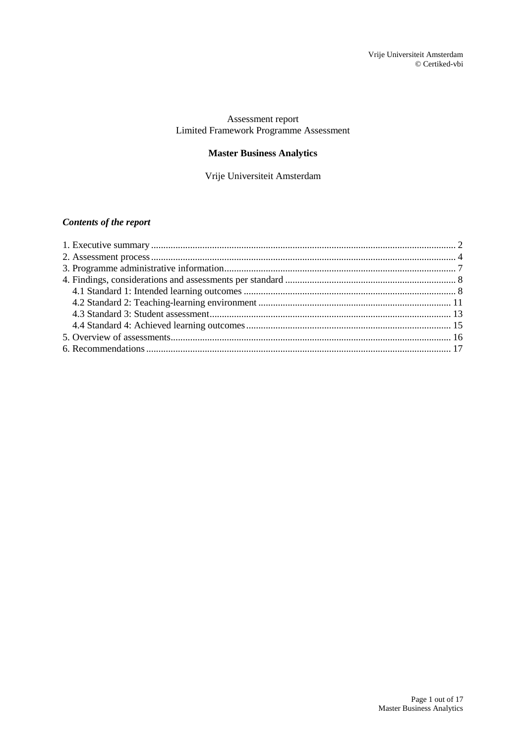### Assessment report Limited Framework Programme Assessment

## **Master Business Analytics**

Vrije Universiteit Amsterdam

## *Contents of the report*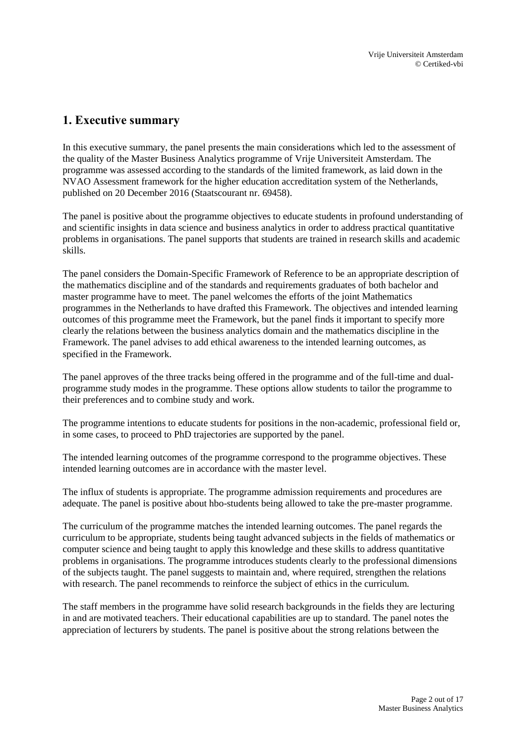## <span id="page-1-0"></span>**1. Executive summary**

In this executive summary, the panel presents the main considerations which led to the assessment of the quality of the Master Business Analytics programme of Vrije Universiteit Amsterdam. The programme was assessed according to the standards of the limited framework, as laid down in the NVAO Assessment framework for the higher education accreditation system of the Netherlands, published on 20 December 2016 (Staatscourant nr. 69458).

The panel is positive about the programme objectives to educate students in profound understanding of and scientific insights in data science and business analytics in order to address practical quantitative problems in organisations. The panel supports that students are trained in research skills and academic skills.

The panel considers the Domain-Specific Framework of Reference to be an appropriate description of the mathematics discipline and of the standards and requirements graduates of both bachelor and master programme have to meet. The panel welcomes the efforts of the joint Mathematics programmes in the Netherlands to have drafted this Framework. The objectives and intended learning outcomes of this programme meet the Framework, but the panel finds it important to specify more clearly the relations between the business analytics domain and the mathematics discipline in the Framework. The panel advises to add ethical awareness to the intended learning outcomes, as specified in the Framework.

The panel approves of the three tracks being offered in the programme and of the full-time and dualprogramme study modes in the programme. These options allow students to tailor the programme to their preferences and to combine study and work.

The programme intentions to educate students for positions in the non-academic, professional field or, in some cases, to proceed to PhD trajectories are supported by the panel.

The intended learning outcomes of the programme correspond to the programme objectives. These intended learning outcomes are in accordance with the master level.

The influx of students is appropriate. The programme admission requirements and procedures are adequate. The panel is positive about hbo-students being allowed to take the pre-master programme.

The curriculum of the programme matches the intended learning outcomes. The panel regards the curriculum to be appropriate, students being taught advanced subjects in the fields of mathematics or computer science and being taught to apply this knowledge and these skills to address quantitative problems in organisations. The programme introduces students clearly to the professional dimensions of the subjects taught. The panel suggests to maintain and, where required, strengthen the relations with research. The panel recommends to reinforce the subject of ethics in the curriculum.

The staff members in the programme have solid research backgrounds in the fields they are lecturing in and are motivated teachers. Their educational capabilities are up to standard. The panel notes the appreciation of lecturers by students. The panel is positive about the strong relations between the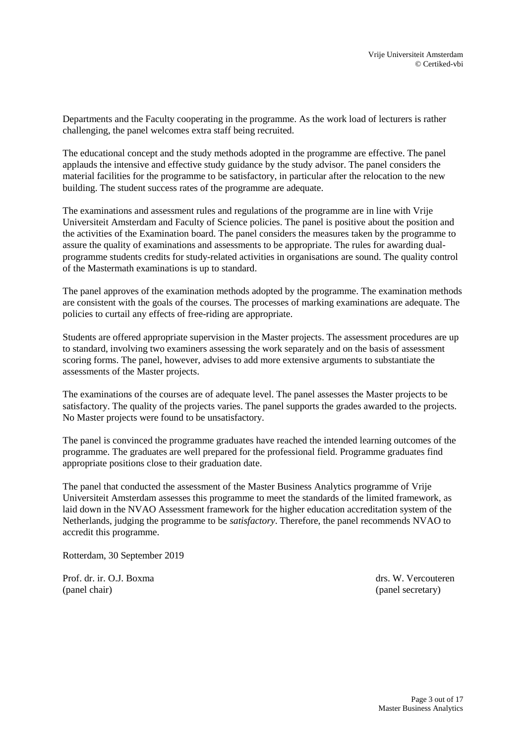Departments and the Faculty cooperating in the programme. As the work load of lecturers is rather challenging, the panel welcomes extra staff being recruited.

The educational concept and the study methods adopted in the programme are effective. The panel applauds the intensive and effective study guidance by the study advisor. The panel considers the material facilities for the programme to be satisfactory, in particular after the relocation to the new building. The student success rates of the programme are adequate.

The examinations and assessment rules and regulations of the programme are in line with Vrije Universiteit Amsterdam and Faculty of Science policies. The panel is positive about the position and the activities of the Examination board. The panel considers the measures taken by the programme to assure the quality of examinations and assessments to be appropriate. The rules for awarding dualprogramme students credits for study-related activities in organisations are sound. The quality control of the Mastermath examinations is up to standard.

The panel approves of the examination methods adopted by the programme. The examination methods are consistent with the goals of the courses. The processes of marking examinations are adequate. The policies to curtail any effects of free-riding are appropriate.

Students are offered appropriate supervision in the Master projects. The assessment procedures are up to standard, involving two examiners assessing the work separately and on the basis of assessment scoring forms. The panel, however, advises to add more extensive arguments to substantiate the assessments of the Master projects.

The examinations of the courses are of adequate level. The panel assesses the Master projects to be satisfactory. The quality of the projects varies. The panel supports the grades awarded to the projects. No Master projects were found to be unsatisfactory.

The panel is convinced the programme graduates have reached the intended learning outcomes of the programme. The graduates are well prepared for the professional field. Programme graduates find appropriate positions close to their graduation date.

The panel that conducted the assessment of the Master Business Analytics programme of Vrije Universiteit Amsterdam assesses this programme to meet the standards of the limited framework, as laid down in the NVAO Assessment framework for the higher education accreditation system of the Netherlands, judging the programme to be *satisfactory*. Therefore, the panel recommends NVAO to accredit this programme.

Rotterdam, 30 September 2019

Prof. dr. ir. O.J. Boxma drs. W. Vercouteren (panel chair) (panel secretary)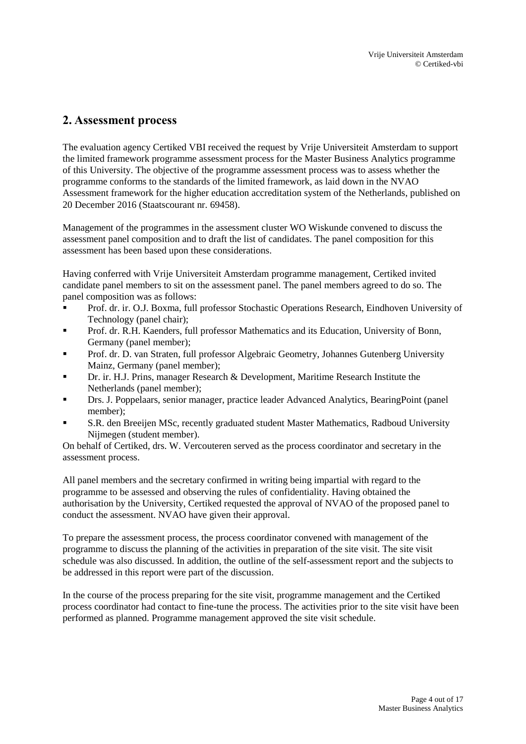## <span id="page-3-0"></span>**2. Assessment process**

The evaluation agency Certiked VBI received the request by Vrije Universiteit Amsterdam to support the limited framework programme assessment process for the Master Business Analytics programme of this University. The objective of the programme assessment process was to assess whether the programme conforms to the standards of the limited framework, as laid down in the NVAO Assessment framework for the higher education accreditation system of the Netherlands, published on 20 December 2016 (Staatscourant nr. 69458).

Management of the programmes in the assessment cluster WO Wiskunde convened to discuss the assessment panel composition and to draft the list of candidates. The panel composition for this assessment has been based upon these considerations.

Having conferred with Vrije Universiteit Amsterdam programme management, Certiked invited candidate panel members to sit on the assessment panel. The panel members agreed to do so. The panel composition was as follows:

- Prof. dr. ir. O.J. Boxma, full professor Stochastic Operations Research, Eindhoven University of Technology (panel chair);
- Prof. dr. R.H. Kaenders, full professor Mathematics and its Education, University of Bonn, Germany (panel member);
- Prof. dr. D. van Straten, full professor Algebraic Geometry, Johannes Gutenberg University Mainz, Germany (panel member);
- **Dr. ir. H.J. Prins, manager Research & Development, Maritime Research Institute the** Netherlands (panel member);
- Drs. J. Poppelaars, senior manager, practice leader Advanced Analytics, BearingPoint (panel member);
- S.R. den Breeijen MSc, recently graduated student Master Mathematics, Radboud University Nijmegen (student member).

On behalf of Certiked, drs. W. Vercouteren served as the process coordinator and secretary in the assessment process.

All panel members and the secretary confirmed in writing being impartial with regard to the programme to be assessed and observing the rules of confidentiality. Having obtained the authorisation by the University, Certiked requested the approval of NVAO of the proposed panel to conduct the assessment. NVAO have given their approval.

To prepare the assessment process, the process coordinator convened with management of the programme to discuss the planning of the activities in preparation of the site visit. The site visit schedule was also discussed. In addition, the outline of the self-assessment report and the subjects to be addressed in this report were part of the discussion.

In the course of the process preparing for the site visit, programme management and the Certiked process coordinator had contact to fine-tune the process. The activities prior to the site visit have been performed as planned. Programme management approved the site visit schedule.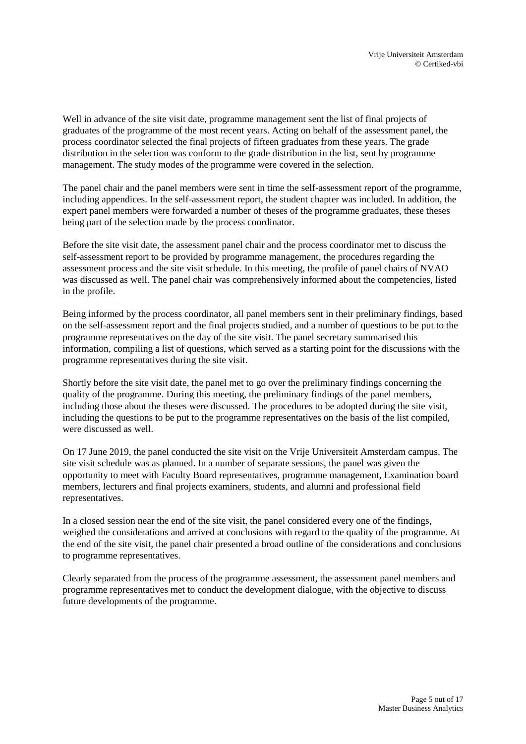Well in advance of the site visit date, programme management sent the list of final projects of graduates of the programme of the most recent years. Acting on behalf of the assessment panel, the process coordinator selected the final projects of fifteen graduates from these years. The grade distribution in the selection was conform to the grade distribution in the list, sent by programme management. The study modes of the programme were covered in the selection.

The panel chair and the panel members were sent in time the self-assessment report of the programme, including appendices. In the self-assessment report, the student chapter was included. In addition, the expert panel members were forwarded a number of theses of the programme graduates, these theses being part of the selection made by the process coordinator.

Before the site visit date, the assessment panel chair and the process coordinator met to discuss the self-assessment report to be provided by programme management, the procedures regarding the assessment process and the site visit schedule. In this meeting, the profile of panel chairs of NVAO was discussed as well. The panel chair was comprehensively informed about the competencies, listed in the profile.

Being informed by the process coordinator, all panel members sent in their preliminary findings, based on the self-assessment report and the final projects studied, and a number of questions to be put to the programme representatives on the day of the site visit. The panel secretary summarised this information, compiling a list of questions, which served as a starting point for the discussions with the programme representatives during the site visit.

Shortly before the site visit date, the panel met to go over the preliminary findings concerning the quality of the programme. During this meeting, the preliminary findings of the panel members, including those about the theses were discussed. The procedures to be adopted during the site visit, including the questions to be put to the programme representatives on the basis of the list compiled, were discussed as well.

On 17 June 2019, the panel conducted the site visit on the Vrije Universiteit Amsterdam campus. The site visit schedule was as planned. In a number of separate sessions, the panel was given the opportunity to meet with Faculty Board representatives, programme management, Examination board members, lecturers and final projects examiners, students, and alumni and professional field representatives.

In a closed session near the end of the site visit, the panel considered every one of the findings, weighed the considerations and arrived at conclusions with regard to the quality of the programme. At the end of the site visit, the panel chair presented a broad outline of the considerations and conclusions to programme representatives.

Clearly separated from the process of the programme assessment, the assessment panel members and programme representatives met to conduct the development dialogue, with the objective to discuss future developments of the programme.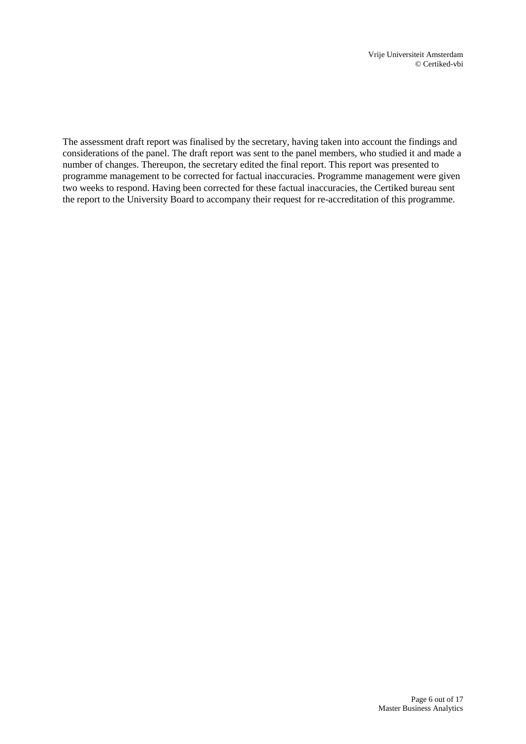The assessment draft report was finalised by the secretary, having taken into account the findings and considerations of the panel. The draft report was sent to the panel members, who studied it and made a number of changes. Thereupon, the secretary edited the final report. This report was presented to programme management to be corrected for factual inaccuracies. Programme management were given two weeks to respond. Having been corrected for these factual inaccuracies, the Certiked bureau sent the report to the University Board to accompany their request for re-accreditation of this programme.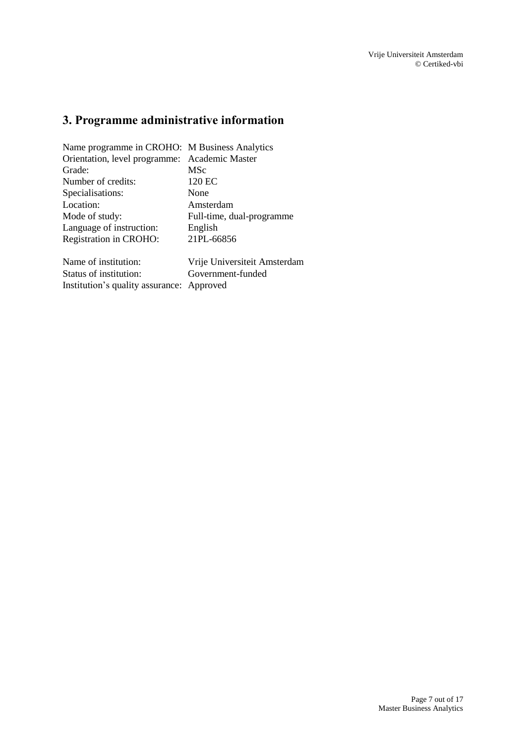# <span id="page-6-0"></span>**3. Programme administrative information**

| Name programme in CROHO: M Business Analytics |                              |
|-----------------------------------------------|------------------------------|
| Orientation, level programme: Academic Master |                              |
| Grade:                                        | MSc                          |
| Number of credits:                            | 120 EC                       |
| Specialisations:                              | None                         |
| Location:                                     | Amsterdam                    |
| Mode of study:                                | Full-time, dual-programme    |
| Language of instruction:                      | English                      |
| <b>Registration in CROHO:</b>                 | 21PL-66856                   |
| Name of institution:                          | Vrije Universiteit Amsterdam |

Status of institution: Government-funded

Institution's quality assurance: Approved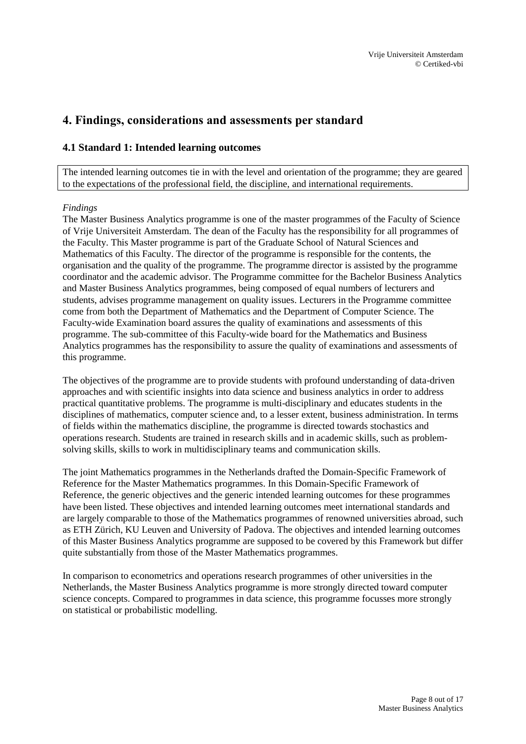## <span id="page-7-0"></span>**4. Findings, considerations and assessments per standard**

## <span id="page-7-1"></span>**4.1 Standard 1: Intended learning outcomes**

The intended learning outcomes tie in with the level and orientation of the programme; they are geared to the expectations of the professional field, the discipline, and international requirements.

### *Findings*

The Master Business Analytics programme is one of the master programmes of the Faculty of Science of Vrije Universiteit Amsterdam. The dean of the Faculty has the responsibility for all programmes of the Faculty. This Master programme is part of the Graduate School of Natural Sciences and Mathematics of this Faculty. The director of the programme is responsible for the contents, the organisation and the quality of the programme. The programme director is assisted by the programme coordinator and the academic advisor. The Programme committee for the Bachelor Business Analytics and Master Business Analytics programmes, being composed of equal numbers of lecturers and students, advises programme management on quality issues. Lecturers in the Programme committee come from both the Department of Mathematics and the Department of Computer Science. The Faculty-wide Examination board assures the quality of examinations and assessments of this programme. The sub-committee of this Faculty-wide board for the Mathematics and Business Analytics programmes has the responsibility to assure the quality of examinations and assessments of this programme.

The objectives of the programme are to provide students with profound understanding of data-driven approaches and with scientific insights into data science and business analytics in order to address practical quantitative problems. The programme is multi-disciplinary and educates students in the disciplines of mathematics, computer science and, to a lesser extent, business administration. In terms of fields within the mathematics discipline, the programme is directed towards stochastics and operations research. Students are trained in research skills and in academic skills, such as problemsolving skills, skills to work in multidisciplinary teams and communication skills.

The joint Mathematics programmes in the Netherlands drafted the Domain-Specific Framework of Reference for the Master Mathematics programmes. In this Domain-Specific Framework of Reference, the generic objectives and the generic intended learning outcomes for these programmes have been listed. These objectives and intended learning outcomes meet international standards and are largely comparable to those of the Mathematics programmes of renowned universities abroad, such as ETH Zürich, KU Leuven and University of Padova. The objectives and intended learning outcomes of this Master Business Analytics programme are supposed to be covered by this Framework but differ quite substantially from those of the Master Mathematics programmes.

In comparison to econometrics and operations research programmes of other universities in the Netherlands, the Master Business Analytics programme is more strongly directed toward computer science concepts. Compared to programmes in data science, this programme focusses more strongly on statistical or probabilistic modelling.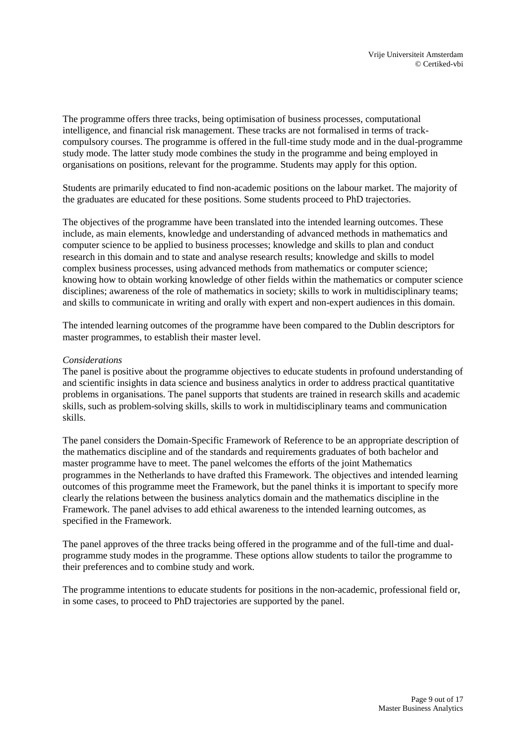The programme offers three tracks, being optimisation of business processes, computational intelligence, and financial risk management. These tracks are not formalised in terms of trackcompulsory courses. The programme is offered in the full-time study mode and in the dual-programme study mode. The latter study mode combines the study in the programme and being employed in organisations on positions, relevant for the programme. Students may apply for this option.

Students are primarily educated to find non-academic positions on the labour market. The majority of the graduates are educated for these positions. Some students proceed to PhD trajectories.

The objectives of the programme have been translated into the intended learning outcomes. These include, as main elements, knowledge and understanding of advanced methods in mathematics and computer science to be applied to business processes; knowledge and skills to plan and conduct research in this domain and to state and analyse research results; knowledge and skills to model complex business processes, using advanced methods from mathematics or computer science; knowing how to obtain working knowledge of other fields within the mathematics or computer science disciplines; awareness of the role of mathematics in society; skills to work in multidisciplinary teams; and skills to communicate in writing and orally with expert and non-expert audiences in this domain.

The intended learning outcomes of the programme have been compared to the Dublin descriptors for master programmes, to establish their master level.

#### *Considerations*

The panel is positive about the programme objectives to educate students in profound understanding of and scientific insights in data science and business analytics in order to address practical quantitative problems in organisations. The panel supports that students are trained in research skills and academic skills, such as problem-solving skills, skills to work in multidisciplinary teams and communication skills.

The panel considers the Domain-Specific Framework of Reference to be an appropriate description of the mathematics discipline and of the standards and requirements graduates of both bachelor and master programme have to meet. The panel welcomes the efforts of the joint Mathematics programmes in the Netherlands to have drafted this Framework. The objectives and intended learning outcomes of this programme meet the Framework, but the panel thinks it is important to specify more clearly the relations between the business analytics domain and the mathematics discipline in the Framework. The panel advises to add ethical awareness to the intended learning outcomes, as specified in the Framework.

The panel approves of the three tracks being offered in the programme and of the full-time and dualprogramme study modes in the programme. These options allow students to tailor the programme to their preferences and to combine study and work.

The programme intentions to educate students for positions in the non-academic, professional field or, in some cases, to proceed to PhD trajectories are supported by the panel.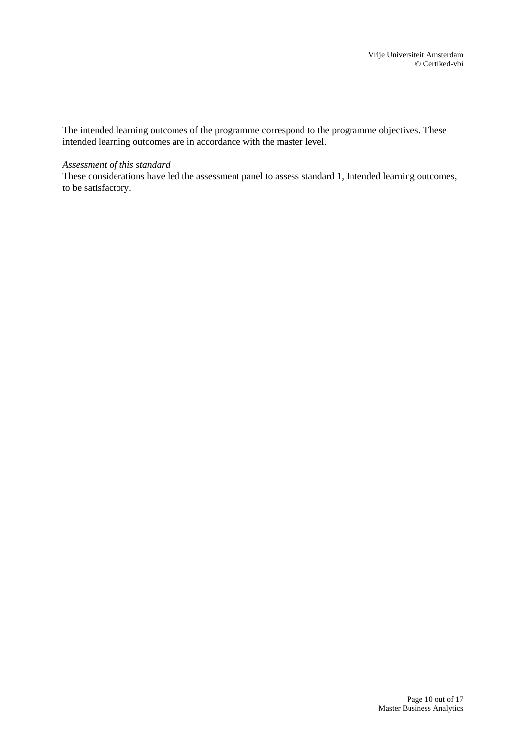The intended learning outcomes of the programme correspond to the programme objectives. These intended learning outcomes are in accordance with the master level.

#### *Assessment of this standard*

These considerations have led the assessment panel to assess standard 1, Intended learning outcomes, to be satisfactory.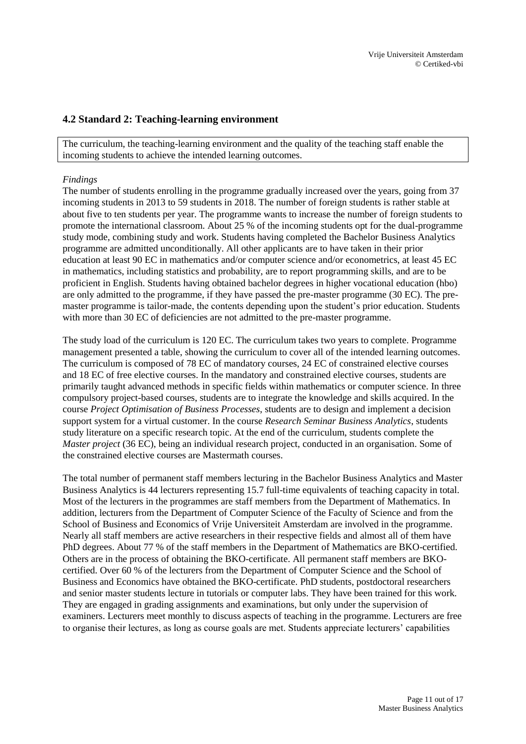### <span id="page-10-0"></span>**4.2 Standard 2: Teaching-learning environment**

The curriculum, the teaching-learning environment and the quality of the teaching staff enable the incoming students to achieve the intended learning outcomes.

#### *Findings*

The number of students enrolling in the programme gradually increased over the years, going from 37 incoming students in 2013 to 59 students in 2018. The number of foreign students is rather stable at about five to ten students per year. The programme wants to increase the number of foreign students to promote the international classroom. About 25 % of the incoming students opt for the dual-programme study mode, combining study and work. Students having completed the Bachelor Business Analytics programme are admitted unconditionally. All other applicants are to have taken in their prior education at least 90 EC in mathematics and/or computer science and/or econometrics, at least 45 EC in mathematics, including statistics and probability, are to report programming skills, and are to be proficient in English. Students having obtained bachelor degrees in higher vocational education (hbo) are only admitted to the programme, if they have passed the pre-master programme (30 EC). The premaster programme is tailor-made, the contents depending upon the student's prior education. Students with more than 30 EC of deficiencies are not admitted to the pre-master programme.

The study load of the curriculum is 120 EC. The curriculum takes two years to complete. Programme management presented a table, showing the curriculum to cover all of the intended learning outcomes. The curriculum is composed of 78 EC of mandatory courses, 24 EC of constrained elective courses and 18 EC of free elective courses. In the mandatory and constrained elective courses, students are primarily taught advanced methods in specific fields within mathematics or computer science. In three compulsory project-based courses, students are to integrate the knowledge and skills acquired. In the course *Project Optimisation of Business Processes*, students are to design and implement a decision support system for a virtual customer. In the course *Research Seminar Business Analytics*, students study literature on a specific research topic. At the end of the curriculum, students complete the *Master project* (36 EC), being an individual research project, conducted in an organisation. Some of the constrained elective courses are Mastermath courses.

The total number of permanent staff members lecturing in the Bachelor Business Analytics and Master Business Analytics is 44 lecturers representing 15.7 full-time equivalents of teaching capacity in total. Most of the lecturers in the programmes are staff members from the Department of Mathematics. In addition, lecturers from the Department of Computer Science of the Faculty of Science and from the School of Business and Economics of Vrije Universiteit Amsterdam are involved in the programme. Nearly all staff members are active researchers in their respective fields and almost all of them have PhD degrees. About 77 % of the staff members in the Department of Mathematics are BKO-certified. Others are in the process of obtaining the BKO-certificate. All permanent staff members are BKOcertified. Over 60 % of the lecturers from the Department of Computer Science and the School of Business and Economics have obtained the BKO-certificate. PhD students, postdoctoral researchers and senior master students lecture in tutorials or computer labs. They have been trained for this work. They are engaged in grading assignments and examinations, but only under the supervision of examiners. Lecturers meet monthly to discuss aspects of teaching in the programme. Lecturers are free to organise their lectures, as long as course goals are met. Students appreciate lecturers' capabilities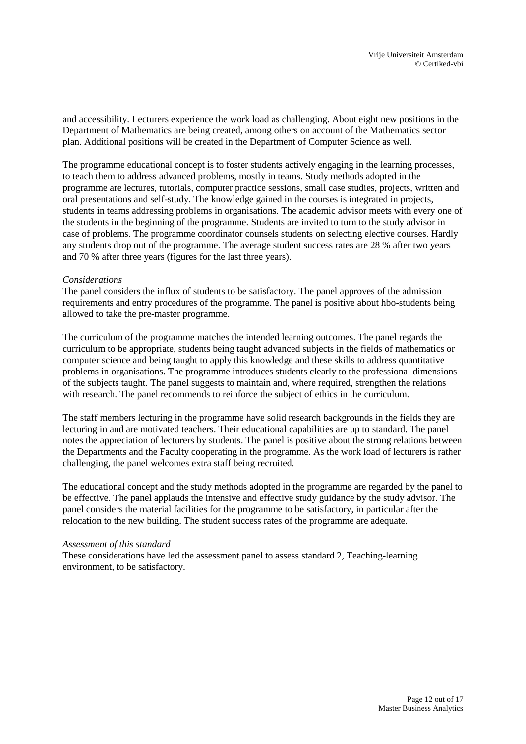and accessibility. Lecturers experience the work load as challenging. About eight new positions in the Department of Mathematics are being created, among others on account of the Mathematics sector plan. Additional positions will be created in the Department of Computer Science as well.

The programme educational concept is to foster students actively engaging in the learning processes, to teach them to address advanced problems, mostly in teams. Study methods adopted in the programme are lectures, tutorials, computer practice sessions, small case studies, projects, written and oral presentations and self-study. The knowledge gained in the courses is integrated in projects, students in teams addressing problems in organisations. The academic advisor meets with every one of the students in the beginning of the programme. Students are invited to turn to the study advisor in case of problems. The programme coordinator counsels students on selecting elective courses. Hardly any students drop out of the programme. The average student success rates are 28 % after two years and 70 % after three years (figures for the last three years).

### *Considerations*

The panel considers the influx of students to be satisfactory. The panel approves of the admission requirements and entry procedures of the programme. The panel is positive about hbo-students being allowed to take the pre-master programme.

The curriculum of the programme matches the intended learning outcomes. The panel regards the curriculum to be appropriate, students being taught advanced subjects in the fields of mathematics or computer science and being taught to apply this knowledge and these skills to address quantitative problems in organisations. The programme introduces students clearly to the professional dimensions of the subjects taught. The panel suggests to maintain and, where required, strengthen the relations with research. The panel recommends to reinforce the subject of ethics in the curriculum.

The staff members lecturing in the programme have solid research backgrounds in the fields they are lecturing in and are motivated teachers. Their educational capabilities are up to standard. The panel notes the appreciation of lecturers by students. The panel is positive about the strong relations between the Departments and the Faculty cooperating in the programme. As the work load of lecturers is rather challenging, the panel welcomes extra staff being recruited.

The educational concept and the study methods adopted in the programme are regarded by the panel to be effective. The panel applauds the intensive and effective study guidance by the study advisor. The panel considers the material facilities for the programme to be satisfactory, in particular after the relocation to the new building. The student success rates of the programme are adequate.

#### *Assessment of this standard*

These considerations have led the assessment panel to assess standard 2, Teaching-learning environment, to be satisfactory.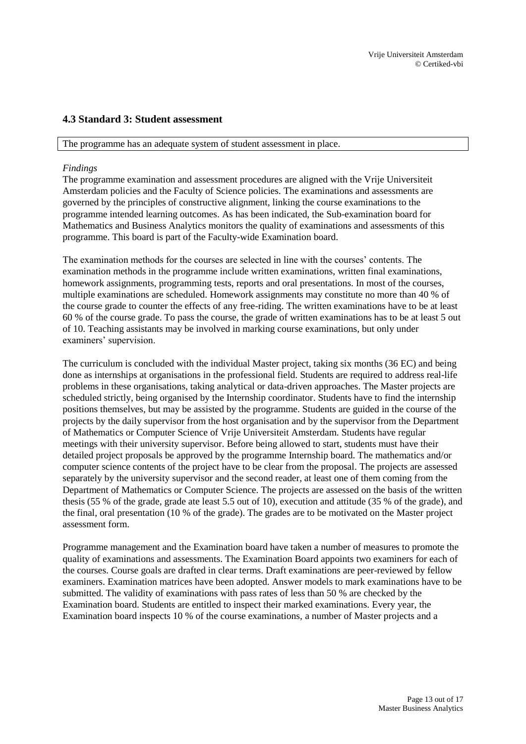### <span id="page-12-0"></span>**4.3 Standard 3: Student assessment**

#### The programme has an adequate system of student assessment in place.

### *Findings*

The programme examination and assessment procedures are aligned with the Vrije Universiteit Amsterdam policies and the Faculty of Science policies. The examinations and assessments are governed by the principles of constructive alignment, linking the course examinations to the programme intended learning outcomes. As has been indicated, the Sub-examination board for Mathematics and Business Analytics monitors the quality of examinations and assessments of this programme. This board is part of the Faculty-wide Examination board.

The examination methods for the courses are selected in line with the courses' contents. The examination methods in the programme include written examinations, written final examinations, homework assignments, programming tests, reports and oral presentations. In most of the courses, multiple examinations are scheduled. Homework assignments may constitute no more than 40 % of the course grade to counter the effects of any free-riding. The written examinations have to be at least 60 % of the course grade. To pass the course, the grade of written examinations has to be at least 5 out of 10. Teaching assistants may be involved in marking course examinations, but only under examiners' supervision.

The curriculum is concluded with the individual Master project, taking six months (36 EC) and being done as internships at organisations in the professional field. Students are required to address real-life problems in these organisations, taking analytical or data-driven approaches. The Master projects are scheduled strictly, being organised by the Internship coordinator. Students have to find the internship positions themselves, but may be assisted by the programme. Students are guided in the course of the projects by the daily supervisor from the host organisation and by the supervisor from the Department of Mathematics or Computer Science of Vrije Universiteit Amsterdam. Students have regular meetings with their university supervisor. Before being allowed to start, students must have their detailed project proposals be approved by the programme Internship board. The mathematics and/or computer science contents of the project have to be clear from the proposal. The projects are assessed separately by the university supervisor and the second reader, at least one of them coming from the Department of Mathematics or Computer Science. The projects are assessed on the basis of the written thesis (55 % of the grade, grade ate least 5.5 out of 10), execution and attitude (35 % of the grade), and the final, oral presentation (10 % of the grade). The grades are to be motivated on the Master project assessment form.

Programme management and the Examination board have taken a number of measures to promote the quality of examinations and assessments. The Examination Board appoints two examiners for each of the courses. Course goals are drafted in clear terms. Draft examinations are peer-reviewed by fellow examiners. Examination matrices have been adopted. Answer models to mark examinations have to be submitted. The validity of examinations with pass rates of less than 50 % are checked by the Examination board. Students are entitled to inspect their marked examinations. Every year, the Examination board inspects 10 % of the course examinations, a number of Master projects and a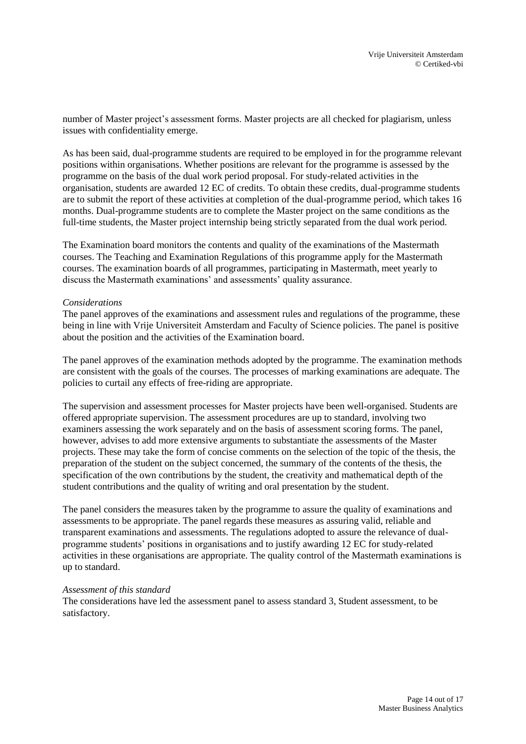number of Master project's assessment forms. Master projects are all checked for plagiarism, unless issues with confidentiality emerge.

As has been said, dual-programme students are required to be employed in for the programme relevant positions within organisations. Whether positions are relevant for the programme is assessed by the programme on the basis of the dual work period proposal. For study-related activities in the organisation, students are awarded 12 EC of credits. To obtain these credits, dual-programme students are to submit the report of these activities at completion of the dual-programme period, which takes 16 months. Dual-programme students are to complete the Master project on the same conditions as the full-time students, the Master project internship being strictly separated from the dual work period.

The Examination board monitors the contents and quality of the examinations of the Mastermath courses. The Teaching and Examination Regulations of this programme apply for the Mastermath courses. The examination boards of all programmes, participating in Mastermath, meet yearly to discuss the Mastermath examinations' and assessments' quality assurance.

#### *Considerations*

The panel approves of the examinations and assessment rules and regulations of the programme, these being in line with Vrije Universiteit Amsterdam and Faculty of Science policies. The panel is positive about the position and the activities of the Examination board.

The panel approves of the examination methods adopted by the programme. The examination methods are consistent with the goals of the courses. The processes of marking examinations are adequate. The policies to curtail any effects of free-riding are appropriate.

The supervision and assessment processes for Master projects have been well-organised. Students are offered appropriate supervision. The assessment procedures are up to standard, involving two examiners assessing the work separately and on the basis of assessment scoring forms. The panel, however, advises to add more extensive arguments to substantiate the assessments of the Master projects. These may take the form of concise comments on the selection of the topic of the thesis, the preparation of the student on the subject concerned, the summary of the contents of the thesis, the specification of the own contributions by the student, the creativity and mathematical depth of the student contributions and the quality of writing and oral presentation by the student.

The panel considers the measures taken by the programme to assure the quality of examinations and assessments to be appropriate. The panel regards these measures as assuring valid, reliable and transparent examinations and assessments. The regulations adopted to assure the relevance of dualprogramme students' positions in organisations and to justify awarding 12 EC for study-related activities in these organisations are appropriate. The quality control of the Mastermath examinations is up to standard.

#### *Assessment of this standard*

The considerations have led the assessment panel to assess standard 3, Student assessment, to be satisfactory.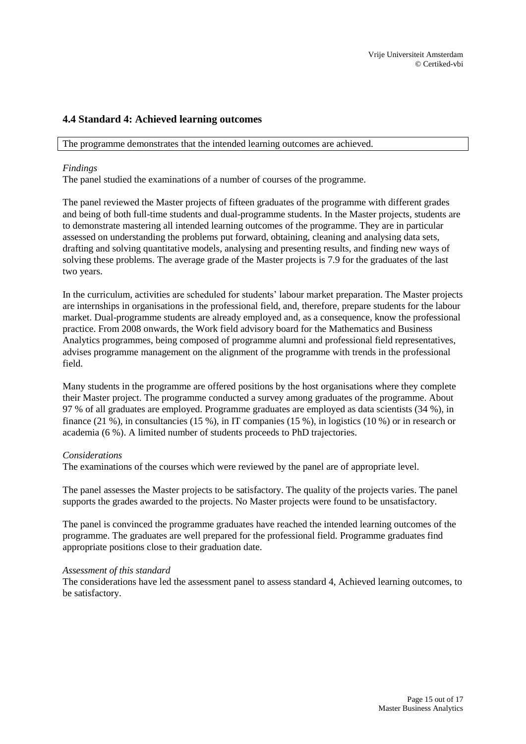## <span id="page-14-0"></span>**4.4 Standard 4: Achieved learning outcomes**

The programme demonstrates that the intended learning outcomes are achieved.

#### *Findings*

The panel studied the examinations of a number of courses of the programme.

The panel reviewed the Master projects of fifteen graduates of the programme with different grades and being of both full-time students and dual-programme students. In the Master projects, students are to demonstrate mastering all intended learning outcomes of the programme. They are in particular assessed on understanding the problems put forward, obtaining, cleaning and analysing data sets, drafting and solving quantitative models, analysing and presenting results, and finding new ways of solving these problems. The average grade of the Master projects is 7.9 for the graduates of the last two years.

In the curriculum, activities are scheduled for students' labour market preparation. The Master projects are internships in organisations in the professional field, and, therefore, prepare students for the labour market. Dual-programme students are already employed and, as a consequence, know the professional practice. From 2008 onwards, the Work field advisory board for the Mathematics and Business Analytics programmes, being composed of programme alumni and professional field representatives, advises programme management on the alignment of the programme with trends in the professional field.

Many students in the programme are offered positions by the host organisations where they complete their Master project. The programme conducted a survey among graduates of the programme. About 97 % of all graduates are employed. Programme graduates are employed as data scientists (34 %), in finance (21 %), in consultancies (15 %), in IT companies (15 %), in logistics (10 %) or in research or academia (6 %). A limited number of students proceeds to PhD trajectories.

#### *Considerations*

The examinations of the courses which were reviewed by the panel are of appropriate level.

The panel assesses the Master projects to be satisfactory. The quality of the projects varies. The panel supports the grades awarded to the projects. No Master projects were found to be unsatisfactory.

The panel is convinced the programme graduates have reached the intended learning outcomes of the programme. The graduates are well prepared for the professional field. Programme graduates find appropriate positions close to their graduation date.

#### *Assessment of this standard*

The considerations have led the assessment panel to assess standard 4, Achieved learning outcomes, to be satisfactory.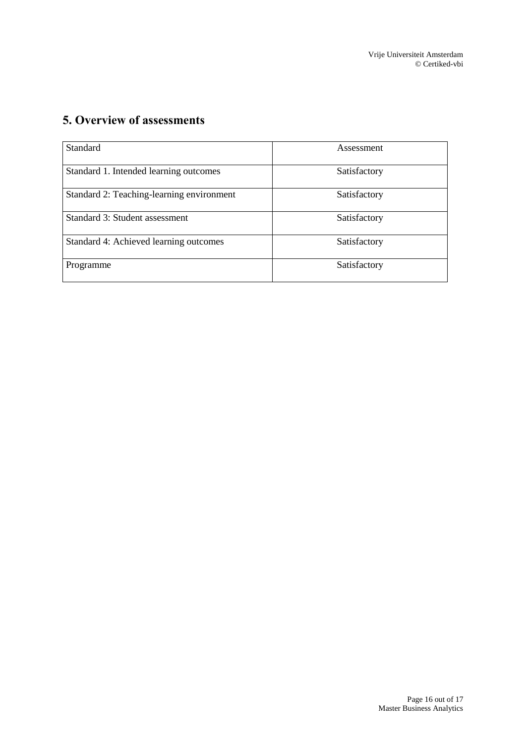# <span id="page-15-0"></span>**5. Overview of assessments**

| <b>Standard</b>                           | Assessment   |
|-------------------------------------------|--------------|
| Standard 1. Intended learning outcomes    | Satisfactory |
| Standard 2: Teaching-learning environment | Satisfactory |
| Standard 3: Student assessment            | Satisfactory |
| Standard 4: Achieved learning outcomes    | Satisfactory |
| Programme                                 | Satisfactory |